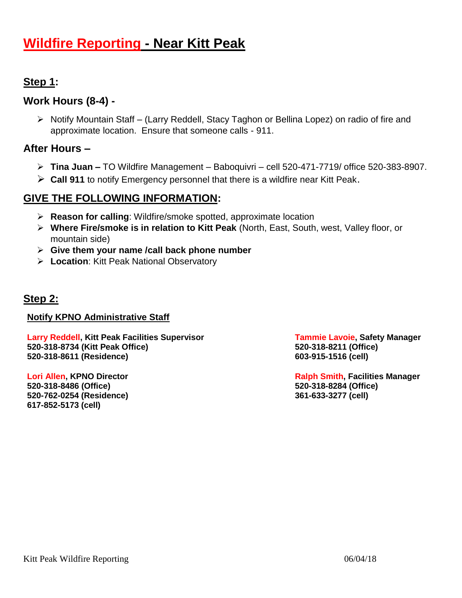# **Wildfire Reporting - Near Kitt Peak**

# **Step 1:**

# **Work Hours (8-4) -**

 Notify Mountain Staff – (Larry Reddell, Stacy Taghon or Bellina Lopez) on radio of fire and approximate location. Ensure that someone calls - 911.

### **After Hours –**

- **Tina Juan –** TO Wildfire Management Baboquivri cell 520-471-7719/ office 520-383-8907.
- **Call 911** to notify Emergency personnel that there is a wildfire near Kitt Peak.

# **GIVE THE FOLLOWING INFORMATION:**

- **Reason for calling**: Wildfire/smoke spotted, approximate location
- **Where Fire/smoke is in relation to Kitt Peak** (North, East, South, west, Valley floor, or mountain side)
- **Give them your name /call back phone number**
- **Location**: Kitt Peak National Observatory

## **Step 2:**

### **Notify KPNO Administrative Staff**

**Larry Reddell, Kitt Peak Facilities Supervisor Tammie Lavoie, Safety Manager 520-318-8734 (Kitt Peak Office) 520-318-8211 (Office) 520-318-8611 (Residence) 603-915-1516 (cell)**

**520-318-8486 (Office) 520-318-8284 (Office) 520-762-0254 (Residence) 361-633-3277 (cell) 617-852-5173 (cell)**

**Lori Allen, KPNO Director Ralph Smith, Facilities Manager**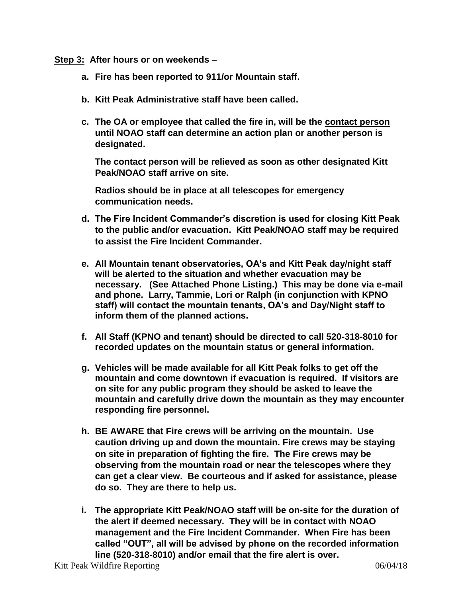**Step 3: After hours or on weekends –**

- **a. Fire has been reported to 911/or Mountain staff.**
- **b. Kitt Peak Administrative staff have been called.**
- **c. The OA or employee that called the fire in, will be the contact person until NOAO staff can determine an action plan or another person is designated.**

**The contact person will be relieved as soon as other designated Kitt Peak/NOAO staff arrive on site.** 

**Radios should be in place at all telescopes for emergency communication needs.**

- **d. The Fire Incident Commander's discretion is used for closing Kitt Peak to the public and/or evacuation. Kitt Peak/NOAO staff may be required to assist the Fire Incident Commander.**
- **e. All Mountain tenant observatories, OA's and Kitt Peak day/night staff will be alerted to the situation and whether evacuation may be necessary. (See Attached Phone Listing.) This may be done via e-mail and phone. Larry, Tammie, Lori or Ralph (in conjunction with KPNO staff) will contact the mountain tenants, OA's and Day/Night staff to inform them of the planned actions.**
- **f. All Staff (KPNO and tenant) should be directed to call 520-318-8010 for recorded updates on the mountain status or general information.**
- **g. Vehicles will be made available for all Kitt Peak folks to get off the mountain and come downtown if evacuation is required. If visitors are on site for any public program they should be asked to leave the mountain and carefully drive down the mountain as they may encounter responding fire personnel.**
- **h. BE AWARE that Fire crews will be arriving on the mountain. Use caution driving up and down the mountain. Fire crews may be staying on site in preparation of fighting the fire. The Fire crews may be observing from the mountain road or near the telescopes where they can get a clear view. Be courteous and if asked for assistance, please do so. They are there to help us.**
- **i. The appropriate Kitt Peak/NOAO staff will be on-site for the duration of the alert if deemed necessary. They will be in contact with NOAO management and the Fire Incident Commander. When Fire has been called "OUT", all will be advised by phone on the recorded information line (520-318-8010) and/or email that the fire alert is over.**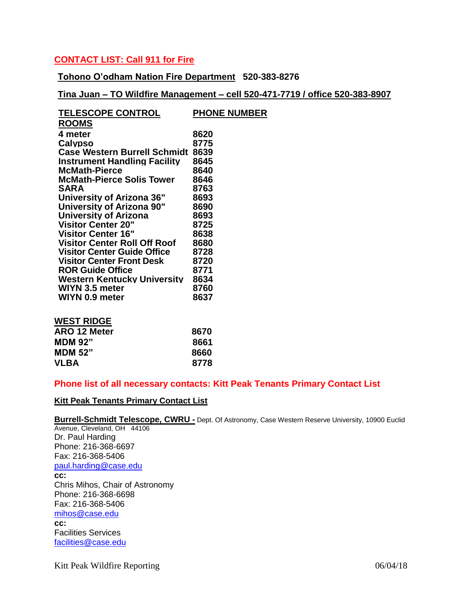#### **CONTACT LIST: Call 911 for Fire**

**Tohono O'odham Nation Fire Department 520-383-8276**

**Tina Juan – TO Wildfire Management – cell 520-471-7719 / office 520-383-8907**

| <b>TELESCOPE CONTROL</b>            | <b>PHONE NUMBER</b> |
|-------------------------------------|---------------------|
| <b>ROOMS</b>                        |                     |
| 4 meter                             | 8620                |
| <b>Calypso</b>                      | 8775                |
| <b>Case Western Burrell Schmidt</b> | 8639                |
| <b>Instrument Handling Facility</b> | 8645                |
| <b>McMath-Pierce</b>                | 8640                |
| <b>McMath-Pierce Solis Tower</b>    | 8646                |
| <b>SARA</b>                         | 8763                |
| University of Arizona 36"           | 8693                |
| <b>University of Arizona 90"</b>    | 8690                |
| University of Arizona               | 8693                |
| <b>Visitor Center 20"</b>           | 8725                |
| <b>Visitor Center 16"</b>           | 8638                |
| <b>Visitor Center Roll Off Roof</b> | 8680                |
| <b>Visitor Center Guide Office</b>  | 8728                |
| <b>Visitor Center Front Desk</b>    | 8720                |
| <b>ROR Guide Office</b>             | 8771                |
| Western Kentucky University         | 8634                |
| WIYN 3.5 meter                      | 8760                |
| WIYN 0.9 meter                      | 8637                |

| <b>WEST RIDGE</b>   |      |
|---------------------|------|
| <b>ARO 12 Meter</b> | 8670 |
| <b>MDM 92"</b>      | 8661 |
| <b>MDM 52"</b>      | 8660 |
| <b>VLBA</b>         | 8778 |

#### **Phone list of all necessary contacts: Kitt Peak Tenants Primary Contact List**

#### **Kitt Peak Tenants Primary Contact List**

#### **Burrell-Schmidt Telescope, CWRU -** Dept. Of Astronomy, Case Western Reserve University, 10900 Euclid

Avenue, Cleveland, OH 44106 Dr. Paul Harding Phone: 216-368-6697 Fax: 216-368-5406 [paul.harding@case.edu](mailto:paul.harding@case.edu) **cc:** Chris Mihos, Chair of Astronomy Phone: 216-368-6698 Fax: 216-368-5406 [mihos@case.edu](mailto:mihos@case.edu) **cc:** Facilities Services [facilities@case.edu](mailto:facilities@case.edu)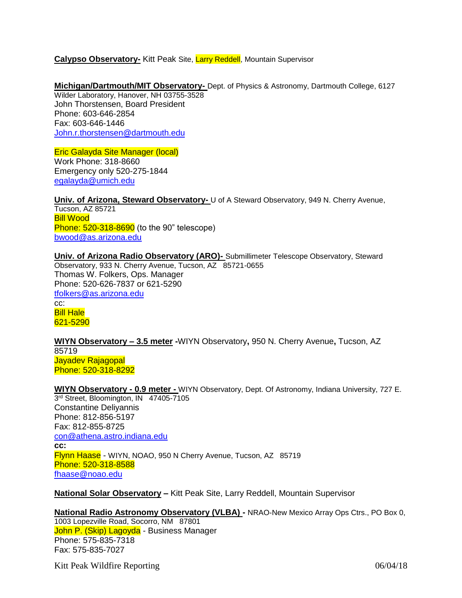#### **Calypso Observatory-** Kitt Peak Site, Larry Reddell, Mountain Supervisor

#### **Michigan/Dartmouth/MIT Observatory-** Dept. of Physics & Astronomy, Dartmouth College, 6127

Wilder Laboratory, Hanover, NH 03755-3528 John Thorstensen, Board President Phone: 603-646-2854 Fax: 603-646-1446 [John.r.thorstensen@dartmouth.edu](mailto:John.r.thorstensen@dartmouth.edu)

#### Eric Galayda Site Manager (local) Work Phone: 318-8660

Emergency only 520-275-1844 [egalayda@umich.edu](mailto:egalayda@umich.edu)

**Univ. of Arizona, Steward Observatory-** U of A Steward Observatory, 949 N. Cherry Avenue, Tucson, AZ 85721 Bill Wood **Phone: 520-318-8690** (to the 90" telescope) [bwood@as.arizona.edu](mailto:bwood@as.arizona.edu)

**Univ. of Arizona Radio Observatory (ARO)-** Submillimeter Telescope Observatory, Steward Observatory, 933 N. Cherry Avenue, Tucson, AZ 85721-0655 Thomas W. Folkers, Ops. Manager Phone: 520-626-7837 or 621-5290 [tfolkers@as.arizona.edu](mailto:tfolkers@as.arizona.edu) cc:

Bill Hale 621-5290

**WIYN Observatory – 3.5 meter -**WIYN Observatory**,** 950 N. Cherry Avenue**,** Tucson, AZ 85719 Jayadev Rajagopal Phone: 520-318-8292

**WIYN Observatory - 0.9 meter -** WIYN Observatory, Dept. Of Astronomy, Indiana University, 727 E. 3<sup>rd</sup> Street, Bloomington, IN 47405-7105 Constantine Deliyannis Phone: 812-856-5197 Fax: 812-855-8725 [con@athena.astro.indiana.edu](mailto:con@athena.astro.indiana.edu) **cc:** Flynn Haase - WIYN, NOAO, 950 N Cherry Avenue, Tucson, AZ 85719 Phone: 520-318-8588 [fhaase@noao.edu](mailto:fhaase@noao.edu)

**National Solar Observatory –** Kitt Peak Site, Larry Reddell, Mountain Supervisor

#### **National Radio Astronomy Observatory (VLBA) -** NRAO-New Mexico Array Ops Ctrs., PO Box 0, 1003 Lopezville Road, Socorro, NM 87801 John P. (Skip) Lagoyda - Business Manager Phone: 575-835-7318

Fax: 575-835-7027

Kitt Peak Wildfire Reporting 06/04/18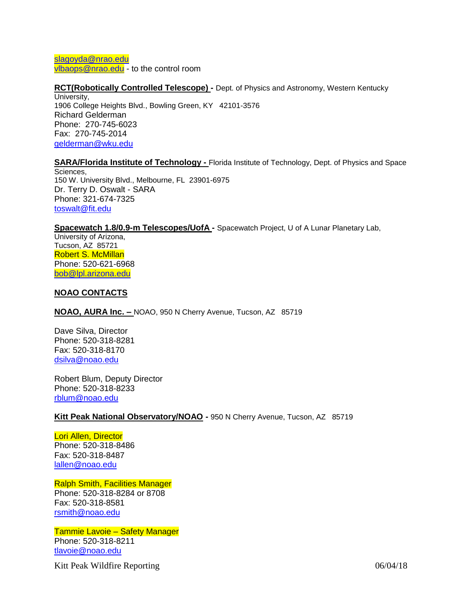[slagoyda@nrao.edu](mailto:slagoyda@nrao.edu) [vlbaops@nrao.edu](mailto:vlbaops@nrao.edu) - to the control room

### **RCT(Robotically Controlled Telescope) -** Dept. of Physics and Astronomy, Western Kentucky

University, 1906 College Heights Blvd., Bowling Green, KY 42101-3576 Richard Gelderman Phone: 270-745-6023 Fax: 270-745-2014 [gelderman@wku.edu](mailto:gelderman@wku.edu)

#### **SARA/Florida Institute of Technology -** Florida Institute of Technology, Dept. of Physics and Space

Sciences, 150 W. University Blvd., Melbourne, FL 23901-6975 Dr. Terry D. Oswalt - SARA Phone: 321-674-7325 [toswalt@fit.edu](mailto:toswalt@fit.edu)

#### **Spacewatch 1.8/0.9-m Telescopes/UofA -** Spacewatch Project, U of A Lunar Planetary Lab,

University of Arizona, Tucson, AZ 85721 Robert S. McMillan Phone: 520-621-6968 [bob@lpl.arizona.edu](mailto:bob@lpl.arizona.edu)

#### **NOAO CONTACTS**

**NOAO, AURA Inc. –** NOAO, 950 N Cherry Avenue, Tucson, AZ 85719

Dave Silva, Director Phone: 520-318-8281 Fax: 520-318-8170 [dsilva@noao.edu](mailto:dsilva@noao.edu)

Robert Blum, Deputy Director Phone: 520-318-8233 rblum@noao.edu

#### **Kitt Peak National Observatory/NOAO -** 950 N Cherry Avenue, Tucson, AZ 85719

Lori Allen, Director Phone: 520-318-8486 Fax: 520-318-8487 [lallen@noao.edu](mailto:lallen@noao.edu)

Ralph Smith, Facilities Manager Phone: 520-318-8284 or 8708 Fax: 520-318-8581 [rsmith@noao.edu](mailto:rsmith@noao.edu)

Tammie Lavoie – Safety Manager Phone: 520-318-8211 [tlavoie@noao.edu](mailto:tlavoie@noao.edu)

Kitt Peak Wildfire Reporting 06/04/18